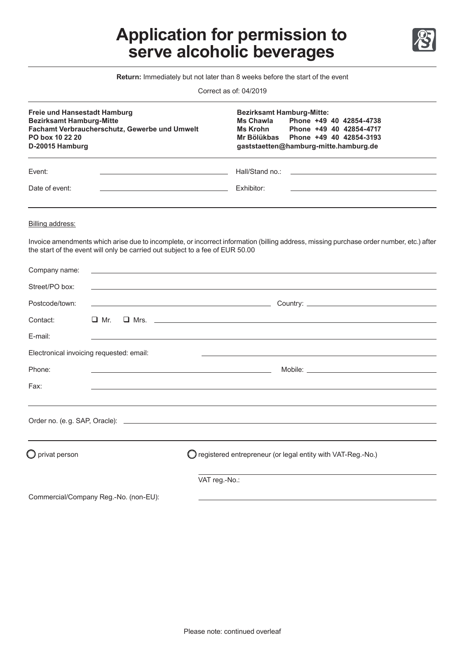# **Application for permission to serve alcoholic beverages**



**Return:** Immediately but not later than 8 weeks before the start of the event

Correct as of: 04/2019

| <b>Freie und Hansestadt Hamburg</b><br><b>Bezirksamt Hamburg-Mitte</b><br>PO box 10 22 20<br>D-20015 Hamburg | Fachamt Verbraucherschutz, Gewerbe und Umwelt                                 | <b>Bezirksamt Hamburg-Mitte:</b><br><b>Ms Chawla</b><br><b>Ms Krohn</b><br>Mr Bölükbas | Phone +49 40 42854-4738<br>Phone +49 40 42854-4717<br>Phone +49 40 42854-3193<br>gaststaetten@hamburg-mitte.hamburg.de                  |
|--------------------------------------------------------------------------------------------------------------|-------------------------------------------------------------------------------|----------------------------------------------------------------------------------------|-----------------------------------------------------------------------------------------------------------------------------------------|
| Event:                                                                                                       |                                                                               | Hall/Stand no.:                                                                        |                                                                                                                                         |
| Date of event:                                                                                               | the control of the control of the control of the control of the control of    | Exhibitor:                                                                             |                                                                                                                                         |
| Billing address:                                                                                             |                                                                               |                                                                                        |                                                                                                                                         |
|                                                                                                              | the start of the event will only be carried out subject to a fee of EUR 50.00 |                                                                                        | Invoice amendments which arise due to incomplete, or incorrect information (billing address, missing purchase order number, etc.) after |
| Company name:                                                                                                |                                                                               |                                                                                        |                                                                                                                                         |
| Street/PO box:                                                                                               |                                                                               |                                                                                        |                                                                                                                                         |
| Postcode/town:                                                                                               |                                                                               |                                                                                        |                                                                                                                                         |
| Contact:                                                                                                     | $\Box$ Mr.                                                                    | $\Box$ Mrs.                                                                            |                                                                                                                                         |
| F-mail:                                                                                                      |                                                                               |                                                                                        |                                                                                                                                         |
| Electronical invoicing requested: email:                                                                     |                                                                               |                                                                                        |                                                                                                                                         |
| Phone:                                                                                                       |                                                                               | <u> 1989 - Johann Barn, fransk politik amerikansk politik (</u>                        |                                                                                                                                         |
| Fax:                                                                                                         |                                                                               |                                                                                        |                                                                                                                                         |
|                                                                                                              |                                                                               |                                                                                        |                                                                                                                                         |
| $\bigcirc$ privat person                                                                                     |                                                                               |                                                                                        | $\bigcirc$ registered entrepreneur (or legal entity with VAT-Reg.-No.)                                                                  |
|                                                                                                              |                                                                               | VAT reg.-No.:                                                                          |                                                                                                                                         |
|                                                                                                              | Commercial/Company Reg.-No. (non-EU):                                         |                                                                                        |                                                                                                                                         |